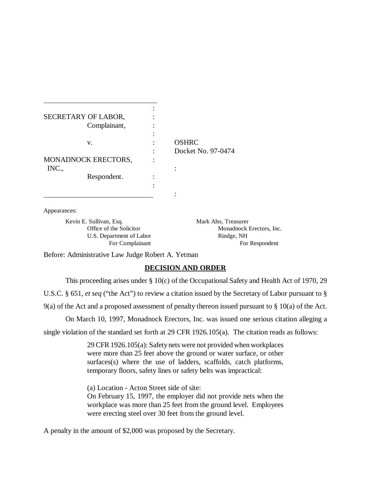| SECRETARY OF LABOR, |              |                    |
|---------------------|--------------|--------------------|
|                     | Complainant, |                    |
|                     |              |                    |
|                     | V.           | <b>OSHRC</b>       |
|                     |              | Docket No. 97-0474 |
| MONADNOCK ERECTORS, |              |                    |
| INC.,               |              |                    |
|                     | Respondent.  |                    |
|                     |              |                    |
|                     |              |                    |

Appearances:

 $\overline{a}$ 

Kevin E. Sullivan, Esq. Mark Aho, Treasurer U.S. Department of Labor Rindge, NH

Office of the Solicitor Monadnock Erectors, Inc. For Complainant For Respondent

Before: Administrative Law Judge Robert A. Yetman

## **DECISION AND ORDER**

This proceeding arises under § 10(c) of the Occupational Safety and Health Act of 1970, 29

U.S.C. § 651, *et seq* ("the Act") to review a citation issued by the Secretary of Labor pursuant to §

9(a) of the Act and a proposed assessment of penalty thereon issued pursuant to § 10(a) of the Act.

On March 10, 1997, Monadnock Erectors, Inc. was issued one serious citation alleging a

single violation of the standard set forth at 29 CFR 1926.105(a). The citation reads as follows:

29 CFR 1926.105(a): Safety nets were not provided when workplaces were more than 25 feet above the ground or water surface, or other surfaces(s) where the use of ladders, scaffolds, catch platforms, temporary floors, safety lines or safety belts was impractical:

(a) Location - Acton Street side of site: On February 15, 1997, the employer did not provide nets when the workplace was more than 25 feet from the ground level. Employees were erecting steel over 30 feet from the ground level.

A penalty in the amount of \$2,000 was proposed by the Secretary.